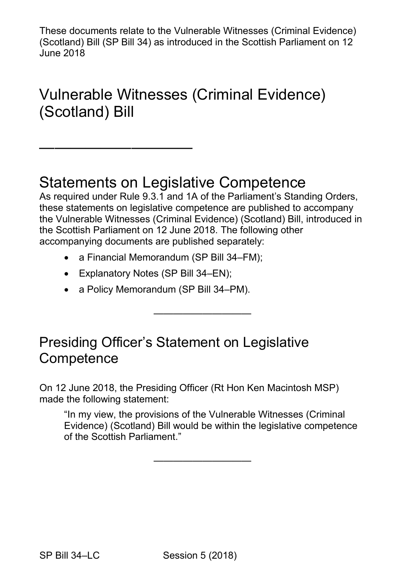These documents relate to the Vulnerable Witnesses (Criminal Evidence) (Scotland) Bill (SP Bill 34) as introduced in the Scottish Parliament on 12 June 2018

# Vulnerable Witnesses (Criminal Evidence) (Scotland) Bill

### Statements on Legislative Competence

 As required under Rule 9.3.1 and 1A of the Parliament's Standing Orders, the Scottish Parliament on 12 June 2018. The following other these statements on legislative competence are published to accompany the Vulnerable Witnesses (Criminal Evidence) (Scotland) Bill, introduced in accompanying documents are published separately:

——————————

- a Financial Memorandum (SP Bill 34–FM);
- Explanatory Notes (SP Bill 34–EN);

——————————

• a Policy Memorandum (SP Bill 34–PM).

### Presiding Officer's Statement on Legislative **Competence**

 made the following statement: On 12 June 2018, the Presiding Officer (Rt Hon Ken Macintosh MSP)

"In my view, the provisions of the Vulnerable Witnesses (Criminal Evidence) (Scotland) Bill would be within the legislative competence of the Scottish Parliament."

——————————